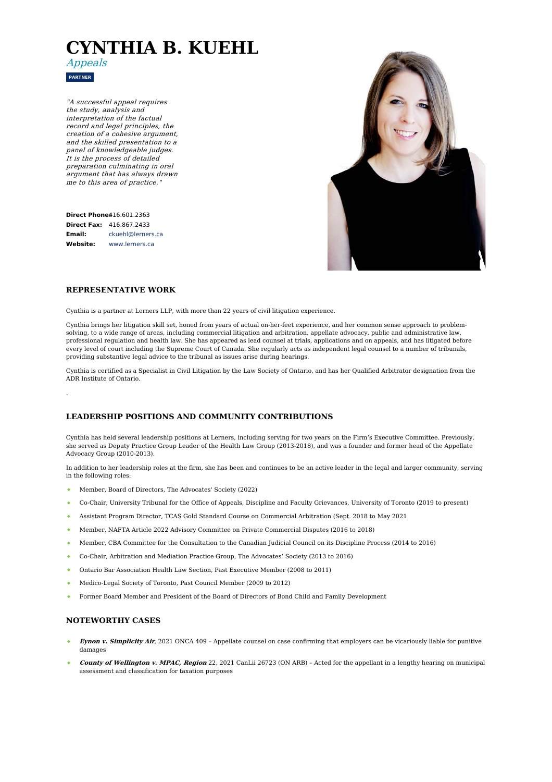# **CYNTHIA B. KUEHL**



"A successful appeal requires the study, analysis and interpretation of the factual record and legal principles, the creation of <sup>a</sup> cohesive argument, and the skilled presentation to <sup>a</sup> panel of knowledgeable judges. It is the process of detailed preparation culminating in oral argument that has always drawn me to this area of practice."

**Direct Phone:** [416.601.2363](tel:416.601.2363) **Direct Fax:** 416.867.2433 **Email: Website:** [ckuehl@lerners.ca](mailto:ckuehl@lerners.ca) [www.lerners.ca](https://www.lerners.ca/)



## **REPRESENTATIVE WORK**

.

Cynthia is a partner at Lerners LLP, with more than 22 years of civil litigation experience.

Cynthia brings her litigation skill set, honed from years of actual on-her-feet experience, and her common sense approach to problemsolving, to a wide range of areas, including commercial litigation and arbitration, appellate advocacy, public and administrative law, professional regulation and health law. She has appeared as lead counsel at trials, applications and on appeals, and has litigated before every level of court including the Supreme Court of Canada. She regularly acts as independent legal counsel to a number of tribunals, providing substantive legal advice to the tribunal as issues arise during hearings.

Cynthia is certified as a Specialist in Civil Litigation by the Law Society of Ontario, and has her Qualified Arbitrator designation from the ADR Institute of Ontario.

#### **LEADERSHIP POSITIONS AND COMMUNITY CONTRIBUTIONS**

Cynthia has held several leadership positions at Lerners, including serving for two years on the Firm's Executive Committee. Previously, she served as Deputy Practice Group Leader of the Health Law Group (2013-2018), and was a founder and former head of the Appellate Advocacy Group (2010-2013).

In addition to her leadership roles at the firm, she has been and continues to be an active leader in the legal and larger community, serving in the following roles:

- Member, Board of Directors, The Advocates' Society (2022)
- Co-Chair, University Tribunal for the Office of Appeals, Discipline and Faculty Grievances, University of Toronto (2019 to present)
- Assistant Program Director, TCAS Gold Standard Course on Commercial Arbitration (Sept. 2018 to May 2021
- Member, NAFTA Article 2022 Advisory Committee on Private Commercial Disputes (2016 to 2018)
- Member, CBA Committee for the Consultation to the Canadian Judicial Council on its Discipline Process (2014 to 2016)  $\bullet$  .
- Co-Chair, Arbitration and Mediation Practice Group, The Advocates' Society (2013 to 2016)
- Ontario Bar Association Health Law Section, Past Executive Member (2008 to 2011)  $\Delta$
- Medico-Legal Society of Toronto, Past Council Member (2009 to 2012)
- Former Board Member and President of the Board of Directors of Bond Child and Family Development

#### **NOTEWORTHY CASES**

- **Eynon v. Simplicity Air**, 2021 ONCA 409 Appellate counsel on case confirming that employers can be vicariously liable for punitive damages
- **County of Wellington v. MPAC, Region** 22, 2021 CanLii 26723 (ON ARB) Acted for the appellant in a lengthy hearing on municipal assessment and classification for taxation purposes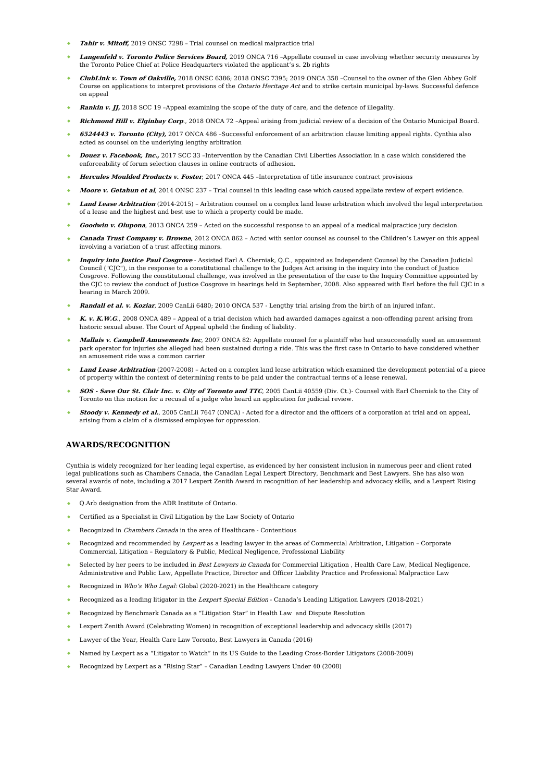- **Tahir v. Mitoff,** 2019 ONSC 7298 Trial counsel on medical malpractice trial
- **Langenfeld v. Toronto Police Services Board,** 2019 ONCA 716 –Appellate counsel in case involving whether security measures by the Toronto Police Chief at Police Headquarters violated the applicant's s. 2b rights
- **ClubLink v. Town of Oakville,** 2018 ONSC 6386; 2018 ONSC 7395; 2019 ONCA 358 –Counsel to the owner of the Glen Abbey Golf Course on applications to interpret provisions of the Ontario Heritage Act and to strike certain municipal by-laws. Successful defence on appeal
- **Rankin v. JJ,** 2018 SCC 19 –Appeal examining the scope of the duty of care, and the defence of illegality.
- **Richmond Hill v. Elginbay Corp**., 2018 ONCA 72 –Appeal arising from judicial review of a decision of the Ontario Municipal Board.
- **6524443 v. Toronto (City),** 2017 ONCA 486 –Successful enforcement of an arbitration clause limiting appeal rights. Cynthia also acted as counsel on the underlying lengthy arbitration
- **Douez v. Facebook, Inc.,** 2017 SCC 33 –Intervention by the Canadian Civil Liberties Association in a case which considered the enforceability of forum selection clauses in online contracts of adhesion.
- **Hercules Moulded Products v. Foster**, 2017 ONCA 445 –Interpretation of title insurance contract provisions
- **Moore v. Getahun et al**, 2014 ONSC 237 Trial counsel in this leading case which caused appellate review of expert evidence.
- **Land Lease Arbitration** (2014-2015) Arbitration counsel on a complex land lease arbitration which involved the legal interpretation of a lease and the highest and best use to which a property could be made.
- **Goodwin v. Olupona**, 2013 ONCA 259 Acted on the successful response to an appeal of a medical malpractice jury decision.
- **Canada Trust Company v. Browne**, 2012 ONCA 862 Acted with senior counsel as counsel to the Children's Lawyer on this appeal involving a variation of a trust affecting minors.
- **Inquiry into Justice Paul Cosgrove** Assisted Earl A. Cherniak, Q.C., appointed as Independent Counsel by the Canadian Judicial Council ("CJC"), in the response to a constitutional challenge to the Judges Act arising in the inquiry into the conduct of Justice Cosgrove. Following the constitutional challenge, was involved in the presentation of the case to the Inquiry Committee appointed by the CJC to review the conduct of Justice Cosgrove in hearings held in September, 2008. Also appeared with Earl before the full CJC in a hearing in March 2009.
- **Randall et al. v. Koziar**, 2009 CanLii 6480; 2010 ONCA 537 Lengthy trial arising from the birth of an injured infant.
- **K. v. K.W.G**., 2008 ONCA 489 Appeal of a trial decision which had awarded damages against a non-offending parent arising from historic sexual abuse. The Court of Appeal upheld the finding of liability.
- **Mallais v. Campbell Amusements Inc**, 2007 ONCA 82: Appellate counsel for a plaintiff who had unsuccessfully sued an amusement park operator for injuries she alleged had been sustained during a ride. This was the first case in Ontario to have considered whether an amusement ride was a common carrier
- **Land Lease Arbitration** (2007-2008) Acted on a complex land lease arbitration which examined the development potential of a piece of property within the context of determining rents to be paid under the contractual terms of a lease renewal.
- **SOS - Save Our St. Clair Inc. v. City of Toronto and TTC**, 2005 CanLii 40559 (Div. Ct.)- Counsel with Earl Cherniak to the City of Toronto on this motion for a recusal of a judge who heard an application for judicial review.
- **Stoody v. Kennedy et al.**, 2005 CanLii 7647 (ONCA) Acted for a director and the officers of a corporation at trial and on appeal, arising from a claim of a dismissed employee for oppression.

# **AWARDS/RECOGNITION**

Cynthia is widely recognized for her leading legal expertise, as evidenced by her consistent inclusion in numerous peer and client rated legal publications such as Chambers Canada, the Canadian Legal Lexpert Directory, Benchmark and Best Lawyers. She has also won several awards of note, including a 2017 Lexpert Zenith Award in recognition of her leadership and advocacy skills, and a Lexpert Rising Star Award.

- Q.Arb designation from the ADR Institute of Ontario.
- Certified as a Specialist in Civil Litigation by the Law Society of Ontario
- Recognized in Chambers Canada in the area of Healthcare Contentious
- Recognized and recommended by Lexpert as a leading lawyer in the areas of Commercial Arbitration, Litigation Corporate Commercial, Litigation – Regulatory & Public, Medical Negligence, Professional Liability
- Selected by her peers to be included in Best Lawyers in Canada for Commercial Litigation , Health Care Law, Medical Negligence, Administrative and Public Law, Appellate Practice, Director and Officer Liability Practice and Professional Malpractice Law
- Recognized in Who's Who Legal: Global (2020-2021) in the Healthcare category
- Recognized as a leading litigator in the Lexpert Special Edition Canada's Leading Litigation Lawyers (2018-2021)
- Recognized by Benchmark Canada as a "Litigation Star" in Health Law and Dispute Resolution
- Lexpert Zenith Award (Celebrating Women) in recognition of exceptional leadership and advocacy skills (2017)
- Lawyer of the Year, Health Care Law Toronto, Best Lawyers in Canada (2016)
- Named by Lexpert as a "Litigator to Watch" in its US Guide to the Leading Cross-Border Litigators (2008-2009)
- Recognized by Lexpert as a "Rising Star" Canadian Leading Lawyers Under 40 (2008)